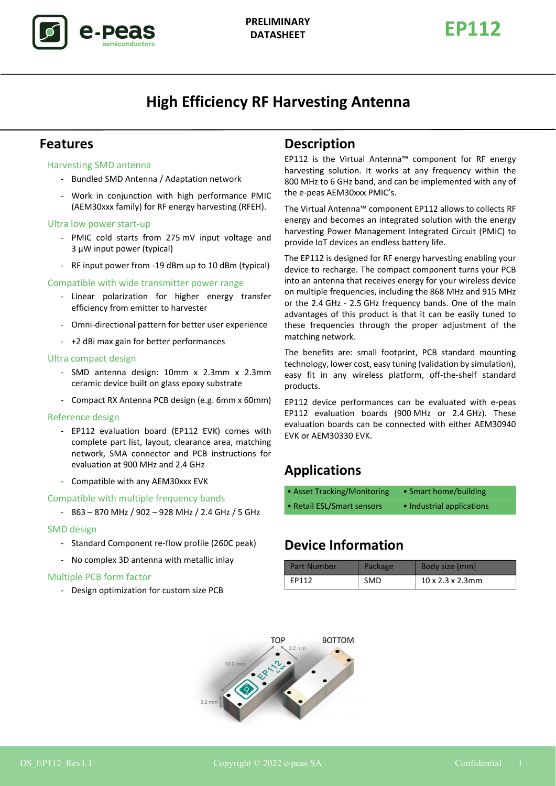

# **High Efficiency RF Harvesting Antenna**

### **Features**

#### Harvesting SMD antenna

- Bundled SMD Antenna / Adaptation network
- Work in conjunction with high performance PMIC (AEM30xxx family) for RF energy harvesting (RFEH).

#### Ultra low power start-up

- PMIC cold starts from 275 mV input voltage and 3 µW input power (typical)
- RF input power from -19 dBm up to 10 dBm (typical)

#### Compatible with wide transmitter power range

- Linear polarization for higher energy transfer efficiency from emitter to harvester
- Omni-directional pattern for better user experience
- +2 dBi max gain for better performances

#### Ultra compact design

- SMD antenna design: 10mm x 2.3mm x 2.3mm ceramic device built on glass epoxy substrate
- Compact RX Antenna PCB design (e.g. 6mm x 60mm)

#### Reference design

- EP112 evaluation board (EP112 EVK) comes with complete part list, layout, clearance area, matching network, SMA connector and PCB instructions for evaluation at 900 MHz and 2.4 GHz
- Compatible with any AEM30xxx EVK

#### Compatible with multiple frequency bands

- 863 – 870 MHz / 902 – 928 MHz / 2.4 GHz / 5 GHz

#### SMD design

- Standard Component re-flow profile (260C peak)
- No complex 3D antenna with metallic inlay

#### Multiple PCB form factor

- Design optimization for custom size PCB

### **Description**

EP112 is the Virtual Antenna™ component for RF energy harvesting solution. It works at any frequency within the 800 MHz to 6 GHz band, and can be implemented with any of the e-peas AEM30xxx PMIC's.

The Virtual Antenna™ component EP112 allows to collects RF energy and becomes an integrated solution with the energy harvesting Power Management Integrated Circuit (PMIC) to provide IoT devices an endless battery life.

The EP112 is designed for RF energy harvesting enabling your device to recharge. The compact component turns your PCB into an antenna that receives energy for your wireless device on multiple frequencies, including the 868 MHz and 915 MHz or the 2.4 GHz - 2.5 GHz frequency bands. One of the main advantages of this product is that it can be easily tuned to these frequencies through the proper adjustment of the matching network.

The benefits are: small footprint, PCB standard mounting technology, lower cost, easy tuning (validation by simulation), easy fit in any wireless platform, off-the-shelf standard products.

EP112 device performances can be evaluated with e-peas EP112 evaluation boards (900 MHz or 2.4 GHz). These evaluation boards can be connected with either AEM30940 EVK or AEM30330 EVK.

## **Applications**

| • Asset Tracking/Monitoring | • Smart home/building     |
|-----------------------------|---------------------------|
| • Retail ESL/Smart sensors  | • Industrial applications |

## **Device Information**

| <b>Part Number</b> | Package | Body size [mm]                |
|--------------------|---------|-------------------------------|
| FP112              | SMD     | $10 \times 2.3 \times 2.3$ mm |

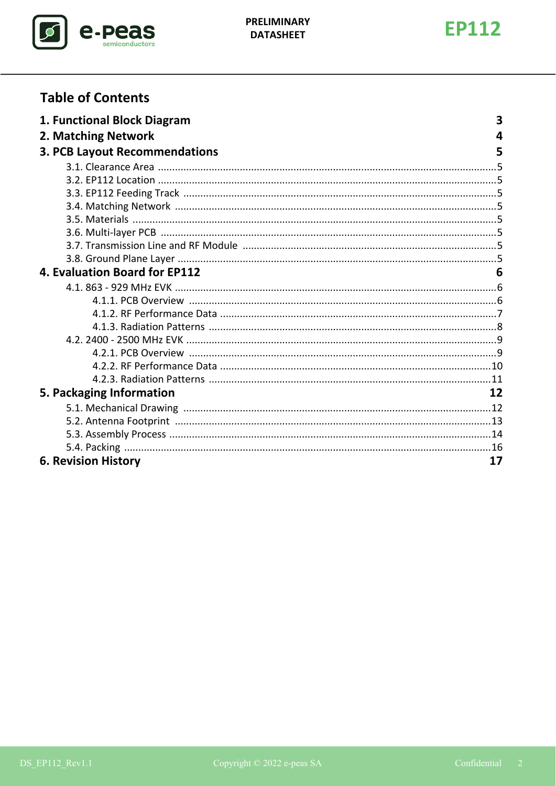



# **Table of Contents**

| 1. Functional Block Diagram          | 3  |
|--------------------------------------|----|
| 2. Matching Network                  | 4  |
| <b>3. PCB Layout Recommendations</b> | 5  |
|                                      |    |
|                                      |    |
|                                      |    |
|                                      |    |
|                                      |    |
|                                      |    |
|                                      |    |
|                                      |    |
| 4. Evaluation Board for EP112        | 6  |
|                                      |    |
|                                      |    |
|                                      |    |
|                                      |    |
|                                      |    |
|                                      |    |
|                                      |    |
|                                      |    |
| 5. Packaging Information             | 12 |
|                                      |    |
|                                      |    |
|                                      |    |
|                                      |    |
| <b>6. Revision History</b>           | 17 |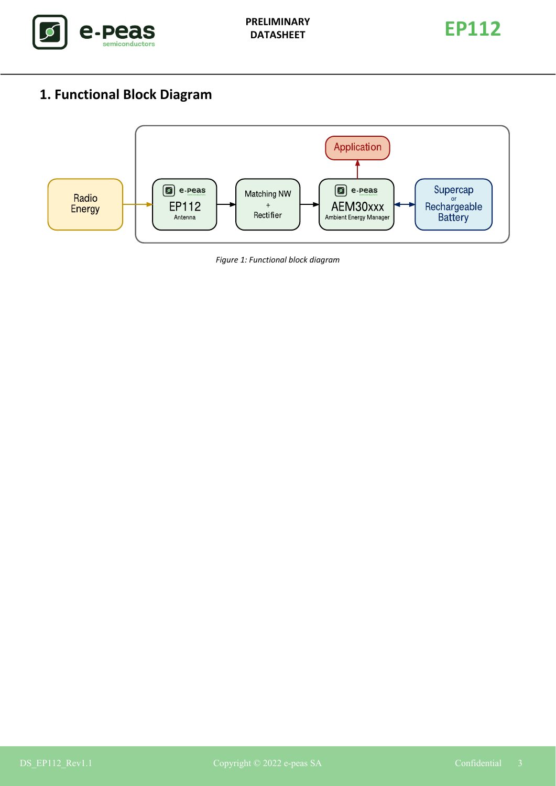



# <span id="page-2-0"></span>**1. Functional Block Diagram**



*Figure 1: Functional block diagram*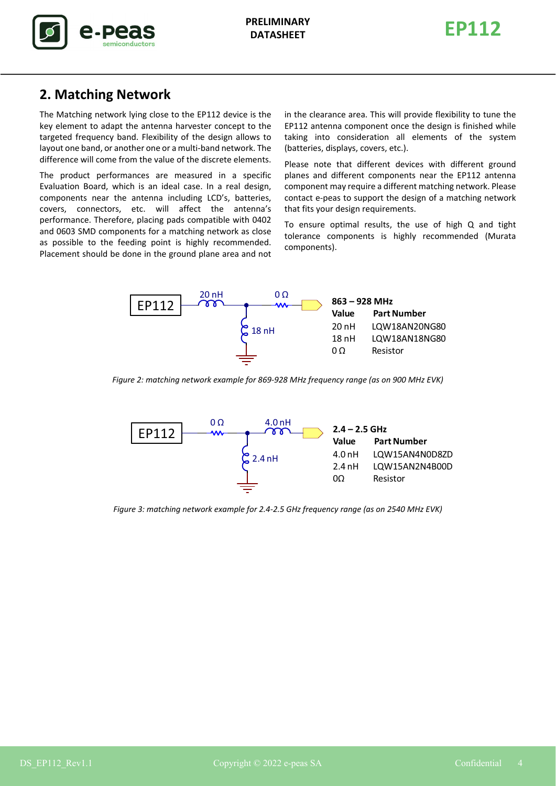

**EP112 PRELIMINARY DATASHEET**



## <span id="page-3-0"></span>**2. Matching Network**

The Matching network lying close to the EP112 device is the key element to adapt the antenna harvester concept to the targeted frequency band. Flexibility of the design allows to layout one band, or another one or a multi-band network. The difference will come from the value of the discrete elements.

The product performances are measured in a specific Evaluation Board, which is an ideal case. In a real design, components near the antenna including LCD's, batteries, covers, connectors, etc. will affect the antenna's performance. Therefore, placing pads compatible with 0402 and 0603 SMD components for a matching network as close as possible to the feeding point is highly recommended. Placement should be done in the ground plane area and not in the clearance area. This will provide flexibility to tune the EP112 antenna component once the design is finished while taking into consideration all elements of the system (batteries, displays, covers, etc.).

Please note that different devices with different ground planes and different components near the EP112 antenna component may require a different matching network. Please contact e-peas to support the design of a matching network that fits your design requirements.

To ensure optimal results, the use of high Q and tight tolerance components is highly recommended (Murata components).



<span id="page-3-1"></span>*Figure 2: matching network example for 869-928 MHz frequency range (as on 900 MHz EVK)*



<span id="page-3-2"></span>*Figure 3: matching network example for 2.4-2.5 GHz frequency range (as on 2540 MHz EVK)*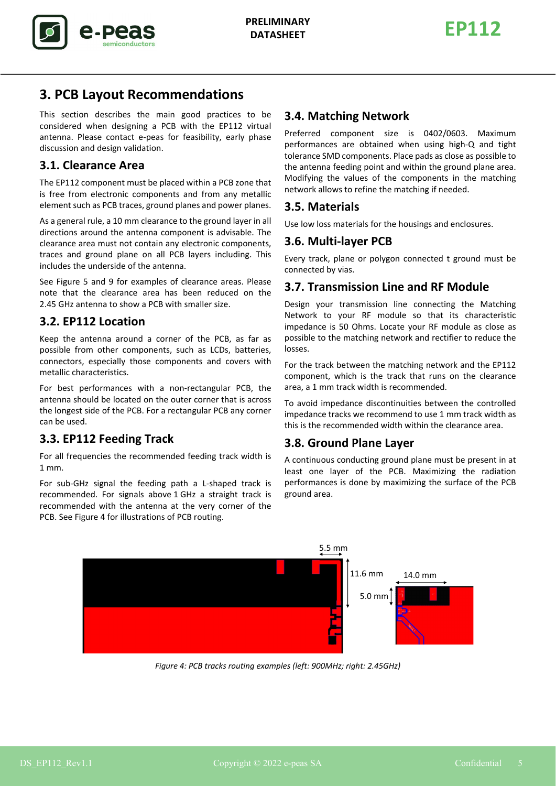

# <span id="page-4-0"></span>**3. PCB Layout Recommendations**

This section describes the main good practices to be considered when designing a PCB with the EP112 virtual antenna. Please contact e-peas for feasibility, early phase discussion and design validation.

# <span id="page-4-1"></span>**3.1. Clearance Area**

The EP112 component must be placed within a PCB zone that is free from electronic components and from any metallic element such as PCB traces, ground planes and power planes.

As a general rule, a 10 mm clearance to the ground layer in all directions around the antenna component is advisable. The clearance area must not contain any electronic components, traces and ground plane on all PCB layers including. This includes the underside of the antenna.

See Figure [5](#page-5-3) and [9](#page-8-2) for examples of clearance areas. Please note that the clearance area has been reduced on the 2.45 GHz antenna to show a PCB with smaller size.

# <span id="page-4-2"></span>**3.2. EP112 Location**

Keep the antenna around a corner of the PCB, as far as possible from other components, such as LCDs, batteries, connectors, especially those components and covers with metallic characteristics.

For best performances with a non-rectangular PCB, the antenna should be located on the outer corner that is across the longest side of the PCB. For a rectangular PCB any corner can be used.

# <span id="page-4-3"></span>**3.3. EP112 Feeding Track**

For all frequencies the recommended feeding track width is 1 mm.

For sub-GHz signal the feeding path a L-shaped track is recommended. For signals above 1 GHz a straight track is recommended with the antenna at the very corner of the PCB. See Figure [4](#page-4-9) for illustrations of PCB routing.

### <span id="page-4-4"></span>**3.4. Matching Network**

Preferred component size is 0402/0603. Maximum performances are obtained when using high-Q and tight tolerance SMD components. Place pads as close as possible to the antenna feeding point and within the ground plane area. Modifying the values of the components in the matching network allows to refine the matching if needed.

### <span id="page-4-5"></span>**3.5. Materials**

<span id="page-4-6"></span>Use low loss materials for the housings and enclosures.

### **3.6. Multi-layer PCB**

Every track, plane or polygon connected t ground must be connected by vias.

### <span id="page-4-7"></span>**3.7. Transmission Line and RF Module**

Design your transmission line connecting the Matching Network to your RF module so that its characteristic impedance is 50 Ohms. Locate your RF module as close as possible to the matching network and rectifier to reduce the losses.

For the track between the matching network and the EP112 component, which is the track that runs on the clearance area, a 1 mm track width is recommended.

To avoid impedance discontinuities between the controlled impedance tracks we recommend to use 1 mm track width as this is the recommended width within the clearance area.

### <span id="page-4-8"></span>**3.8. Ground Plane Layer**

A continuous conducting ground plane must be present in at least one layer of the PCB. Maximizing the radiation performances is done by maximizing the surface of the PCB ground area.



<span id="page-4-9"></span>*Figure 4: PCB tracks routing examples (left: 900MHz; right: 2.45GHz)*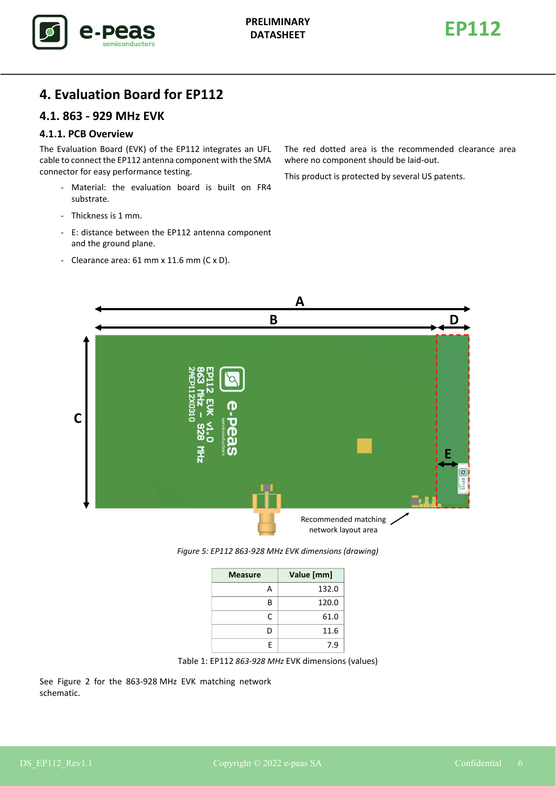

## <span id="page-5-1"></span><span id="page-5-0"></span>**4. Evaluation Board for EP112**

### <span id="page-5-2"></span>**4.1. 863 - 929 MHz EVK**

#### **4.1.1. PCB Overview**

The Evaluation Board (EVK) of the EP112 integrates an UFL cable to connect the EP112 antenna component with the SMA connector for easy performance testing.

- Material: the evaluation board is built on FR4 substrate.
- Thickness is 1 mm.
- E: distance between the EP112 antenna component and the ground plane.
- Clearance area: 61 mm x 11.6 mm (C x D).

The red dotted area is the recommended clearance area where no component should be laid-out.

This product is protected by several US patents.



*Figure 5: EP112 863-928 MHz EVK dimensions (drawing)*

| <b>Measure</b> | Value [mm] |
|----------------|------------|
|                | 132.0      |
| R              | 120.0      |
| C              | 61.0       |
| D              | 11.6       |
| F              | 7.9        |



<span id="page-5-3"></span>See Figure [2](#page-3-1) for the 863-928 MHz EVK matching network schematic.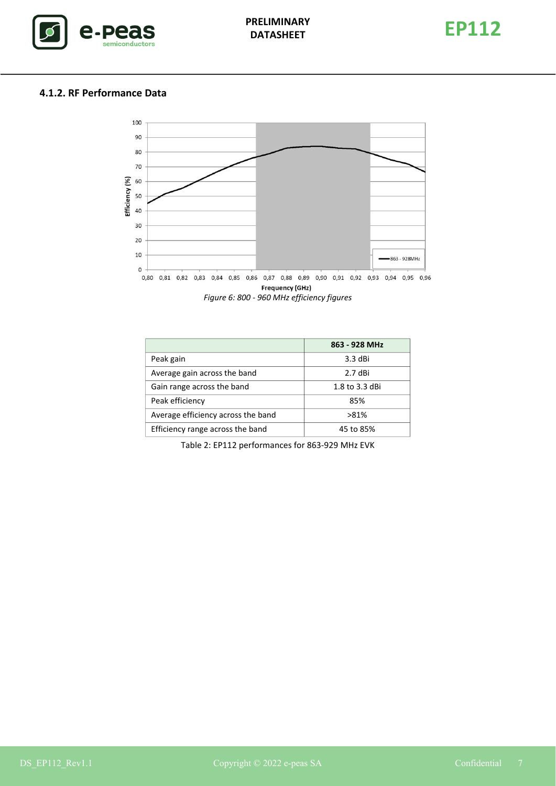

### <span id="page-6-0"></span>**4.1.2. RF Performance Data**





|                                    | 863 - 928 MHz  |
|------------------------------------|----------------|
| Peak gain                          | 3.3 dBi        |
| Average gain across the band       | 2.7 dBi        |
| Gain range across the band         | 1.8 to 3.3 dBi |
| Peak efficiency                    | 85%            |
| Average efficiency across the band | $>81\%$        |
| Efficiency range across the band   | 45 to 85%      |

Table 2: EP112 performances for 863-929 MHz EVK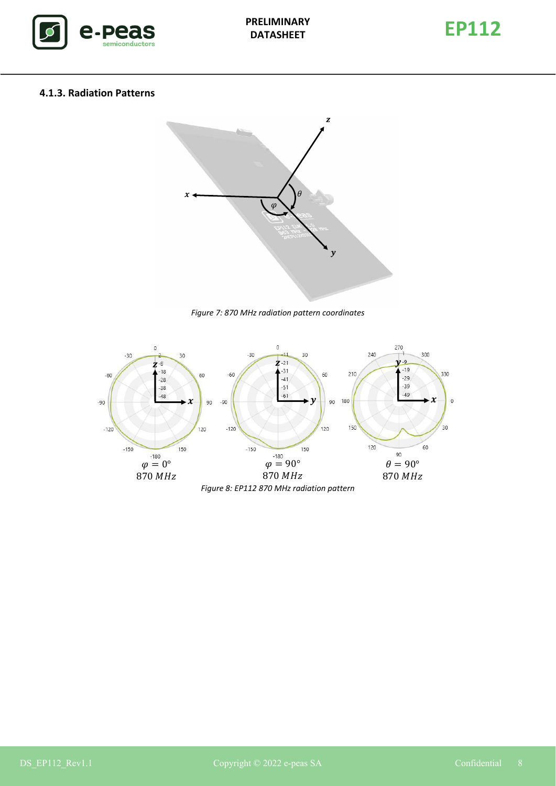



#### <span id="page-7-0"></span>**4.1.3. Radiation Patterns**



*Figure 7: 870 MHz radiation pattern coordinates*

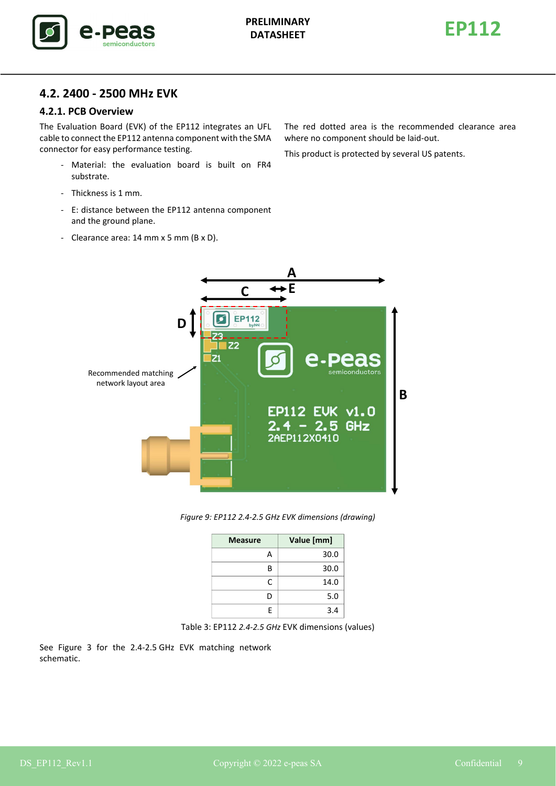



### <span id="page-8-0"></span>**4.2. 2400 - 2500 MHz EVK**

#### <span id="page-8-1"></span>**4.2.1. PCB Overview**

The Evaluation Board (EVK) of the EP112 integrates an UFL cable to connect the EP112 antenna component with the SMA connector for easy performance testing.

- Material: the evaluation board is built on FR4 substrate.
- Thickness is 1 mm.
- E: distance between the EP112 antenna component and the ground plane.
- Clearance area: 14 mm x 5 mm (B x D).

The red dotted area is the recommended clearance area where no component should be laid-out.

This product is protected by several US patents.





| <b>Measure</b> | Value [mm] |
|----------------|------------|
| А              | 30.0       |
| B              | 30.0       |
| C              | 14.0       |
| D              | 5.0        |
| F              | 3.4        |



<span id="page-8-2"></span>See Figure [3](#page-3-2) for the 2.4-2.5 GHz EVK matching network schematic.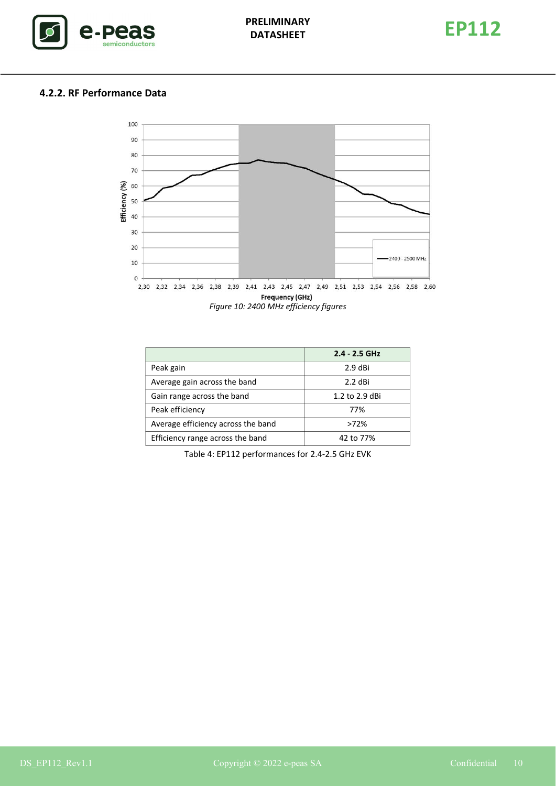

### <span id="page-9-0"></span>**4.2.2. RF Performance Data**



|                                    | $2.4 - 2.5$ GHz |
|------------------------------------|-----------------|
| Peak gain                          | $2.9$ dBi       |
| Average gain across the band       | 2.2 dBi         |
| Gain range across the band         | 1.2 to 2.9 dBi  |
| Peak efficiency                    | 77%             |
| Average efficiency across the band | $>72\%$         |
| Efficiency range across the band   | 42 to 77%       |

Table 4: EP112 performances for 2.4-2.5 GHz EVK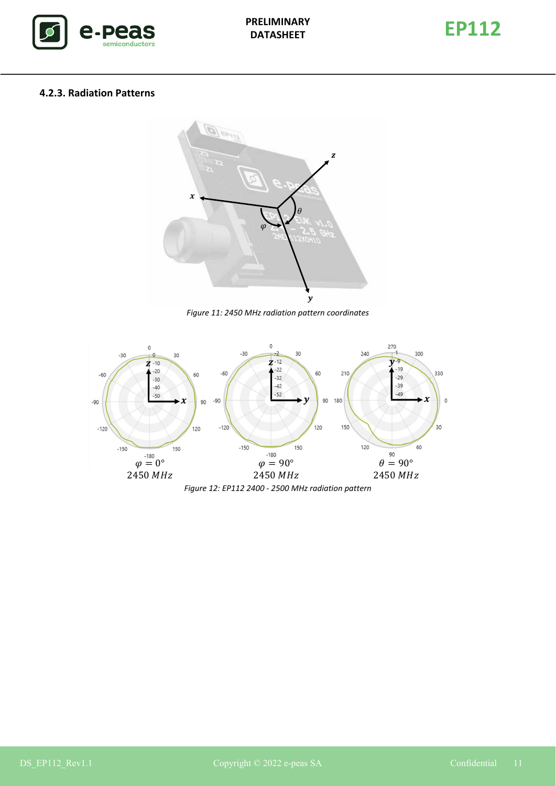



#### <span id="page-10-0"></span>**4.2.3. Radiation Patterns**



*Figure 11: 2450 MHz radiation pattern coordinates*



*Figure 12: EP112 2400 - 2500 MHz radiation pattern*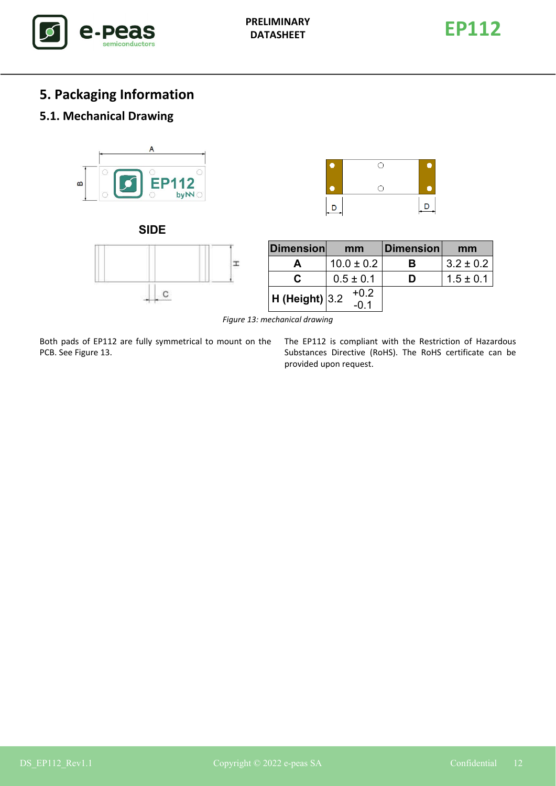

# <span id="page-11-0"></span>**5. Packaging Information**

## <span id="page-11-1"></span>**5.1. Mechanical Drawing**









| <b>Dimension</b>   | mm             | Dimension | mm            |
|--------------------|----------------|-----------|---------------|
|                    | $10.0 \pm 0.2$ | в         | $3.2 \pm 0.2$ |
| С                  | $0.5 \pm 0.1$  | D         | $1.5 \pm 0.1$ |
| $H$ (Height) $3.2$ | $+0.2$         |           |               |

*Figure 13: mechanical drawing*

<span id="page-11-2"></span>Both pads of EP112 are fully symmetrical to mount on the PCB. See Figure [13.](#page-11-2)

The EP112 is compliant with the Restriction of Hazardous Substances Directive (RoHS). The RoHS certificate can be provided upon request.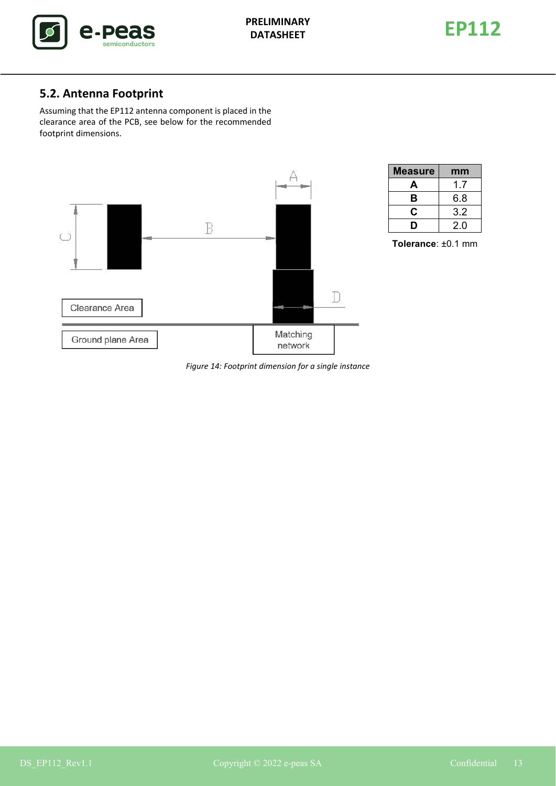

## <span id="page-12-0"></span>**5.2. Antenna Footprint**

Assuming that the EP112 antenna component is placed in the clearance area of the PCB, see below for the recommended footprint dimensions.



| <b>Measure</b> | mm  |
|----------------|-----|
| A              | 1.7 |
| в              | 6.8 |
| C              | 3.2 |
| I)             | 2.0 |

**Tolerance**: ±0.1 mm

*Figure 14: Footprint dimension for a single instance*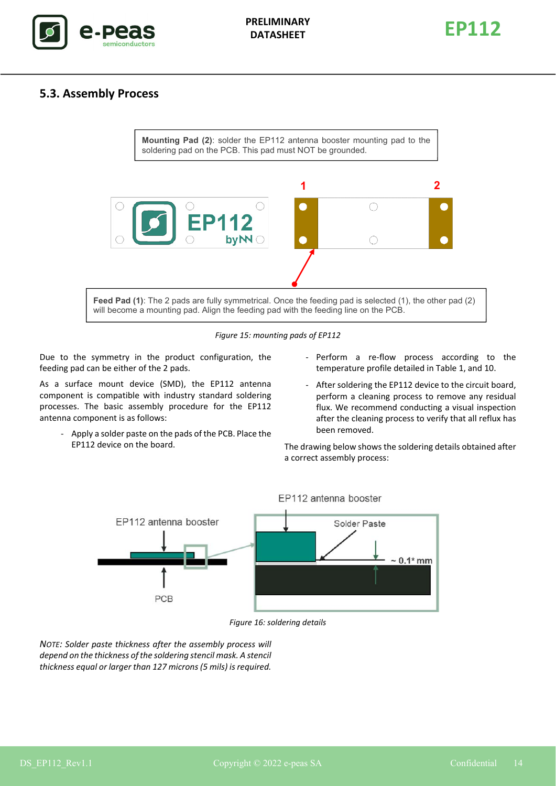

**EP112 PRELIMINARY DATASHEET**



#### <span id="page-13-0"></span>**5.3. Assembly Process**



*Figure 15: mounting pads of EP112*

Due to the symmetry in the product configuration, the feeding pad can be either of the 2 pads.

As a surface mount device (SMD), the EP112 antenna component is compatible with industry standard soldering processes. The basic assembly procedure for the EP112 antenna component is as follows:

- Apply a solder paste on the pads of the PCB. Place the EP112 device on the board.
- Perform a re-flow process according to the temperature profile detailed in Table 1, and 10.
- After soldering the EP112 device to the circuit board, perform a cleaning process to remove any residual flux. We recommend conducting a visual inspection after the cleaning process to verify that all reflux has been removed.

The drawing below shows the soldering details obtained after a correct assembly process:



*Figure 16: soldering details*

*NOTE: Solder paste thickness after the assembly process will depend on the thickness of the soldering stencil mask. A stencil thickness equal or larger than 127 microns (5 mils) is required.*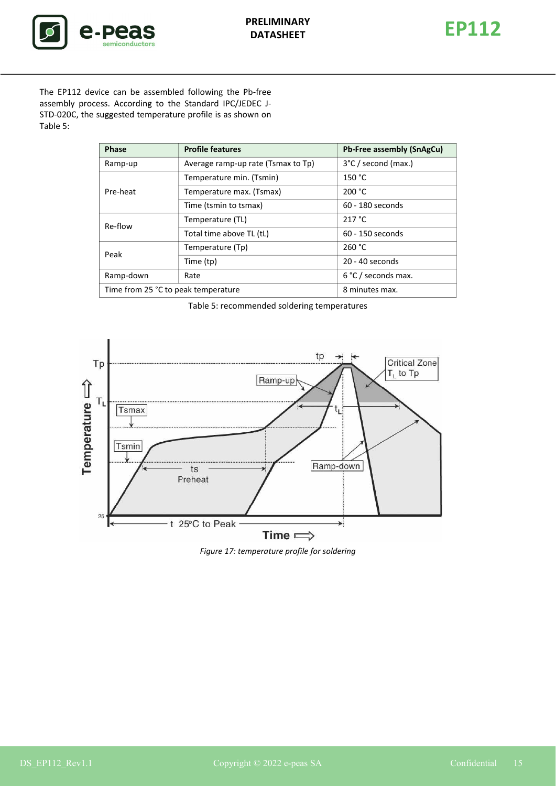

<span id="page-14-0"></span>

The EP112 device can be assembled following the Pb-free assembly process. According to the Standard IPC/JEDEC J-STD-020C, the suggested temperature profile is as shown on Table [5:](#page-14-0)

| <b>Phase</b>                        | <b>Profile features</b>            | Pb-Free assembly (SnAgCu) |
|-------------------------------------|------------------------------------|---------------------------|
| Ramp-up                             | Average ramp-up rate (Tsmax to Tp) | 3°C / second (max.)       |
| Temperature min. (Tsmin)            |                                    | 150 °C                    |
| Pre-heat                            | Temperature max. (Tsmax)           | 200 °C                    |
|                                     | Time (tsmin to tsmax)              | 60 - 180 seconds          |
| Re-flow                             | Temperature (TL)                   | 217 °C                    |
|                                     | Total time above TL (tL)           | 60 - 150 seconds          |
| Peak                                | Temperature (Tp)                   | 260 °C                    |
|                                     | Time (tp)                          | 20 - 40 seconds           |
| Ramp-down                           | Rate                               | 6 °C / seconds max.       |
| Time from 25 °C to peak temperature |                                    | 8 minutes max.            |

Table 5: recommended soldering temperatures



*Figure 17: temperature profile for soldering*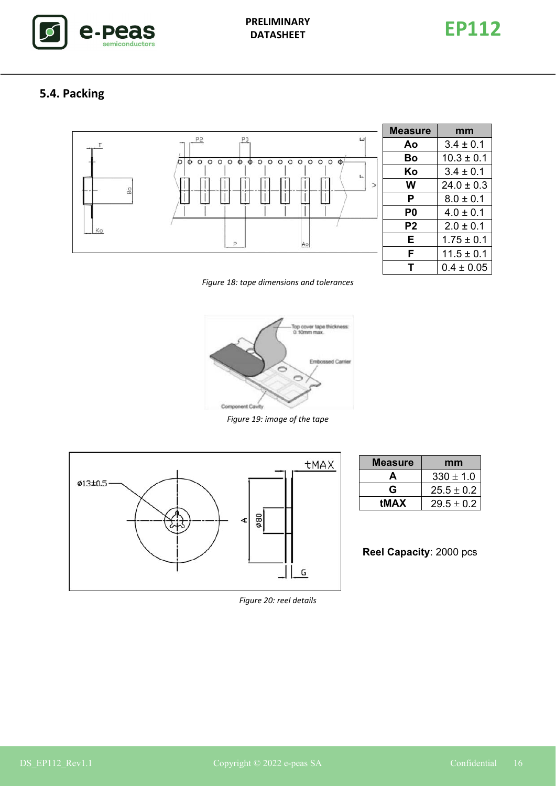



# <span id="page-15-0"></span>**5.4. Packing**



| Measure | mm             |
|---------|----------------|
| Aο      | $3.4 \pm 0.1$  |
| B٥      | $10.3 \pm 0.1$ |
| Κo      | $3.4 \pm 0.1$  |
| w       | $24.0 \pm 0.3$ |
| Р       | $8.0 \pm 0.1$  |
| P0      | $4.0 \pm 0.1$  |
| P2      | $2.0 \pm 0.1$  |
| Е       | $1.75 \pm 0.1$ |
| F       | $11.5 \pm 0.1$ |
|         | $0.4 \pm 0.05$ |

*Figure 18: tape dimensions and tolerances*



*Figure 19: image of the tape*



| <b>Measure</b> | mm             |
|----------------|----------------|
| Д              | $330 \pm 1.0$  |
| G              | $25.5 \pm 0.2$ |
| <b>tMAX</b>    | $29.5 \pm 0.2$ |
|                |                |

**Reel Capacity**: 2000 pcs

*Figure 20: reel details*